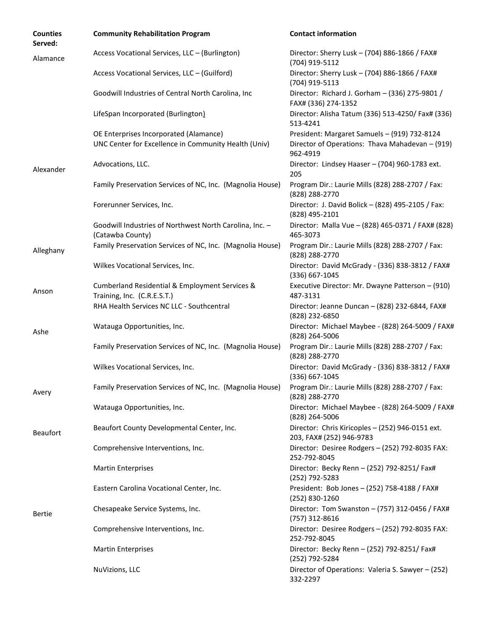| <b>Counties</b><br>Served: | <b>Community Rehabilitation Program</b>                                                                    | <b>Contact information</b>                                                   |
|----------------------------|------------------------------------------------------------------------------------------------------------|------------------------------------------------------------------------------|
| Alamance                   | Access Vocational Services, LLC - (Burlington)                                                             | Director: Sherry Lusk - (704) 886-1866 / FAX#<br>(704) 919-5112              |
|                            | Access Vocational Services, LLC - (Guilford)                                                               | Director: Sherry Lusk - (704) 886-1866 / FAX#<br>(704) 919-5113              |
|                            | Goodwill Industries of Central North Carolina, Inc                                                         | Director: Richard J. Gorham - (336) 275-9801 /<br>FAX# (336) 274-1352        |
|                            | LifeSpan Incorporated (Burlington)                                                                         | Director: Alisha Tatum (336) 513-4250/ Fax# (336)<br>513-4241                |
|                            | OE Enterprises Incorporated (Alamance)                                                                     | President: Margaret Samuels - (919) 732-8124                                 |
|                            | UNC Center for Excellence in Community Health (Univ)                                                       | Director of Operations: Thava Mahadevan - (919)<br>962-4919                  |
| Alexander                  | Advocations, LLC.                                                                                          | Director: Lindsey Haaser - (704) 960-1783 ext.<br>205                        |
|                            | Family Preservation Services of NC, Inc. (Magnolia House)                                                  | Program Dir.: Laurie Mills (828) 288-2707 / Fax:<br>(828) 288-2770           |
|                            | Forerunner Services, Inc.                                                                                  | Director: J. David Bolick - (828) 495-2105 / Fax:<br>(828) 495-2101          |
|                            | Goodwill Industries of Northwest North Carolina, Inc. -<br>(Catawba County)                                | Director: Malla Vue - (828) 465-0371 / FAX# (828)<br>465-3073                |
| Alleghany                  | Family Preservation Services of NC, Inc. (Magnolia House)                                                  | Program Dir.: Laurie Mills (828) 288-2707 / Fax:<br>(828) 288-2770           |
|                            | Wilkes Vocational Services, Inc.                                                                           | Director: David McGrady - (336) 838-3812 / FAX#<br>(336) 667-1045            |
| Anson                      | Cumberland Residential & Employment Services &<br>Training, Inc. (C.R.E.S.T.)                              | Executive Director: Mr. Dwayne Patterson - (910)<br>487-3131                 |
|                            | RHA Health Services NC LLC - Southcentral                                                                  | Director: Jeanne Duncan - (828) 232-6844, FAX#<br>(828) 232-6850             |
| Ashe                       | Watauga Opportunities, Inc.                                                                                | Director: Michael Maybee - (828) 264-5009 / FAX#<br>(828) 264-5006           |
|                            | Family Preservation Services of NC, Inc. (Magnolia House)                                                  | Program Dir.: Laurie Mills (828) 288-2707 / Fax:<br>(828) 288-2770           |
|                            | Wilkes Vocational Services, Inc.                                                                           | Director: David McGrady - (336) 838-3812 / FAX#<br>$(336) 667 - 1045$        |
| Avery                      | Family Preservation Services of NC, Inc. (Magnolia House) Program Dir.: Laurie Mills (828) 288-2707 / Fax: | (828) 288-2770                                                               |
|                            | Watauga Opportunities, Inc.                                                                                | Director: Michael Maybee - (828) 264-5009 / FAX#<br>(828) 264-5006           |
| <b>Beaufort</b>            | Beaufort County Developmental Center, Inc.                                                                 | Director: Chris Kiricoples - (252) 946-0151 ext.<br>203, FAX# (252) 946-9783 |
|                            | Comprehensive Interventions, Inc.                                                                          | Director: Desiree Rodgers - (252) 792-8035 FAX:<br>252-792-8045              |
|                            | <b>Martin Enterprises</b>                                                                                  | Director: Becky Renn - (252) 792-8251/ Fax#<br>(252) 792-5283                |
|                            | Eastern Carolina Vocational Center, Inc.                                                                   | President: Bob Jones - (252) 758-4188 / FAX#<br>(252) 830-1260               |
| <b>Bertie</b>              | Chesapeake Service Systems, Inc.                                                                           | Director: Tom Swanston - (757) 312-0456 / FAX#<br>(757) 312-8616             |
|                            | Comprehensive Interventions, Inc.                                                                          | Director: Desiree Rodgers - (252) 792-8035 FAX:<br>252-792-8045              |
|                            | <b>Martin Enterprises</b>                                                                                  | Director: Becky Renn - (252) 792-8251/ Fax#<br>(252) 792-5284                |
|                            | NuVizions, LLC                                                                                             | Director of Operations: Valeria S. Sawyer - (252)<br>332-2297                |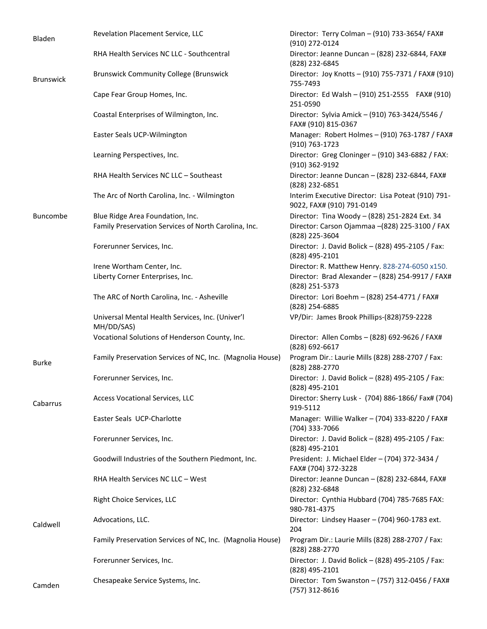| Bladen           | Revelation Placement Service, LLC                              | Director: Terry Colman - (910) 733-3654/ FAX#<br>(910) 272-0124                 |
|------------------|----------------------------------------------------------------|---------------------------------------------------------------------------------|
|                  | RHA Health Services NC LLC - Southcentral                      | Director: Jeanne Duncan - (828) 232-6844, FAX#<br>(828) 232-6845                |
| <b>Brunswick</b> | <b>Brunswick Community College (Brunswick</b>                  | Director: Joy Knotts - (910) 755-7371 / FAX# (910)<br>755-7493                  |
|                  | Cape Fear Group Homes, Inc.                                    | Director: Ed Walsh - (910) 251-2555 FAX# (910)<br>251-0590                      |
|                  | Coastal Enterprises of Wilmington, Inc.                        | Director: Sylvia Amick - (910) 763-3424/5546 /<br>FAX# (910) 815-0367           |
|                  | Easter Seals UCP-Wilmington                                    | Manager: Robert Holmes - (910) 763-1787 / FAX#<br>(910) 763-1723                |
|                  | Learning Perspectives, Inc.                                    | Director: Greg Cloninger - (910) 343-6882 / FAX:<br>(910) 362-9192              |
|                  | RHA Health Services NC LLC - Southeast                         | Director: Jeanne Duncan - (828) 232-6844, FAX#<br>(828) 232-6851                |
|                  | The Arc of North Carolina, Inc. - Wilmington                   | Interim Executive Director: Lisa Poteat (910) 791-<br>9022, FAX# (910) 791-0149 |
| Buncombe         | Blue Ridge Area Foundation, Inc.                               | Director: Tina Woody - (828) 251-2824 Ext. 34                                   |
|                  | Family Preservation Services of North Carolina, Inc.           | Director: Carson Ojammaa - (828) 225-3100 / FAX<br>(828) 225-3604               |
|                  | Forerunner Services, Inc.                                      | Director: J. David Bolick - (828) 495-2105 / Fax:<br>(828) 495-2101             |
|                  | Irene Wortham Center, Inc.                                     | Director: R. Matthew Henry. 828-274-6050 x150.                                  |
|                  | Liberty Corner Enterprises, Inc.                               | Director: Brad Alexander - (828) 254-9917 / FAX#<br>(828) 251-5373              |
|                  | The ARC of North Carolina, Inc. - Asheville                    | Director: Lori Boehm - (828) 254-4771 / FAX#<br>(828) 254-6885                  |
|                  | Universal Mental Health Services, Inc. (Univer'l<br>MH/DD/SAS) | VP/Dir: James Brook Phillips-(828)759-2228                                      |
|                  | Vocational Solutions of Henderson County, Inc.                 | Director: Allen Combs - (828) 692-9626 / FAX#<br>(828) 692-6617                 |
| <b>Burke</b>     | Family Preservation Services of NC, Inc. (Magnolia House)      | Program Dir.: Laurie Mills (828) 288-2707 / Fax:<br>(828) 288-2770              |
|                  | Forerunner Services, Inc.                                      | Director: J. David Bolick - (828) 495-2105 / Fax:<br>(828) 495-2101             |
| Cabarrus         | Access Vocational Services, LLC                                | Director: Sherry Lusk - (704) 886-1866/ Fax# (704)<br>919-5112                  |
|                  | Easter Seals UCP-Charlotte                                     | Manager: Willie Walker - (704) 333-8220 / FAX#<br>(704) 333-7066                |
|                  | Forerunner Services, Inc.                                      | Director: J. David Bolick - (828) 495-2105 / Fax:<br>(828) 495-2101             |
|                  | Goodwill Industries of the Southern Piedmont, Inc.             | President: J. Michael Elder - (704) 372-3434 /<br>FAX# (704) 372-3228           |
|                  | RHA Health Services NC LLC - West                              | Director: Jeanne Duncan - (828) 232-6844, FAX#<br>(828) 232-6848                |
|                  | Right Choice Services, LLC                                     | Director: Cynthia Hubbard (704) 785-7685 FAX:<br>980-781-4375                   |
| Caldwell         | Advocations, LLC.                                              | Director: Lindsey Haaser - (704) 960-1783 ext.<br>204                           |
|                  | Family Preservation Services of NC, Inc. (Magnolia House)      | Program Dir.: Laurie Mills (828) 288-2707 / Fax:<br>(828) 288-2770              |
|                  | Forerunner Services, Inc.                                      | Director: J. David Bolick - (828) 495-2105 / Fax:<br>(828) 495-2101             |
| Camden           | Chesapeake Service Systems, Inc.                               | Director: Tom Swanston - (757) 312-0456 / FAX#<br>(757) 312-8616                |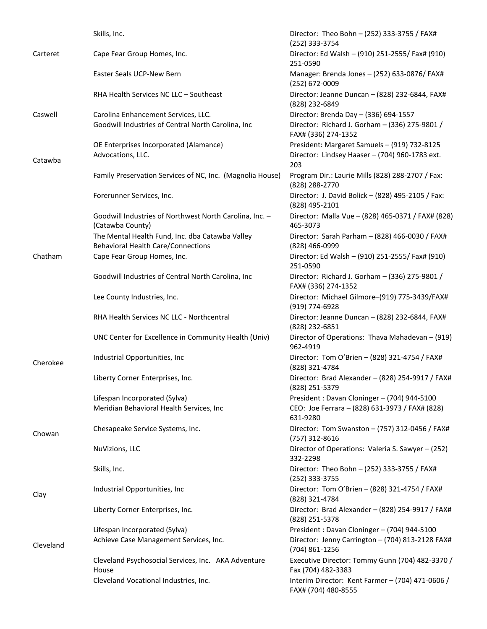|           | Skills, Inc.                                                                                 | Director: Theo Bohn - (252) 333-3755 / FAX#<br>(252) 333-3754           |
|-----------|----------------------------------------------------------------------------------------------|-------------------------------------------------------------------------|
| Carteret  | Cape Fear Group Homes, Inc.                                                                  | Director: Ed Walsh - (910) 251-2555/ Fax# (910)<br>251-0590             |
|           | Easter Seals UCP-New Bern                                                                    | Manager: Brenda Jones - (252) 633-0876/ FAX#<br>(252) 672-0009          |
|           | RHA Health Services NC LLC - Southeast                                                       | Director: Jeanne Duncan - (828) 232-6844, FAX#<br>(828) 232-6849        |
| Caswell   | Carolina Enhancement Services, LLC.                                                          | Director: Brenda Day - (336) 694-1557                                   |
|           | Goodwill Industries of Central North Carolina, Inc                                           | Director: Richard J. Gorham - (336) 275-9801 /<br>FAX# (336) 274-1352   |
|           | OE Enterprises Incorporated (Alamance)                                                       | President: Margaret Samuels - (919) 732-8125                            |
| Catawba   | Advocations, LLC.                                                                            | Director: Lindsey Haaser - (704) 960-1783 ext.<br>203                   |
|           | Family Preservation Services of NC, Inc. (Magnolia House)                                    | Program Dir.: Laurie Mills (828) 288-2707 / Fax:<br>(828) 288-2770      |
|           | Forerunner Services, Inc.                                                                    | Director: J. David Bolick - (828) 495-2105 / Fax:<br>(828) 495-2101     |
|           | Goodwill Industries of Northwest North Carolina, Inc. -<br>(Catawba County)                  | Director: Malla Vue - (828) 465-0371 / FAX# (828)<br>465-3073           |
|           | The Mental Health Fund, Inc. dba Catawba Valley<br><b>Behavioral Health Care/Connections</b> | Director: Sarah Parham - (828) 466-0030 / FAX#<br>(828) 466-0999        |
| Chatham   | Cape Fear Group Homes, Inc.                                                                  | Director: Ed Walsh - (910) 251-2555/ Fax# (910)<br>251-0590             |
|           | Goodwill Industries of Central North Carolina, Inc                                           | Director: Richard J. Gorham - (336) 275-9801 /<br>FAX# (336) 274-1352   |
|           | Lee County Industries, Inc.                                                                  | Director: Michael Gilmore-(919) 775-3439/FAX#<br>(919) 774-6928         |
|           | RHA Health Services NC LLC - Northcentral                                                    | Director: Jeanne Duncan - (828) 232-6844, FAX#<br>(828) 232-6851        |
|           | UNC Center for Excellence in Community Health (Univ)                                         | Director of Operations: Thava Mahadevan - (919)<br>962-4919             |
| Cherokee  | Industrial Opportunities, Inc                                                                | Director: Tom O'Brien - (828) 321-4754 / FAX#<br>(828) 321-4784         |
|           | Liberty Corner Enterprises, Inc.                                                             | Director: Brad Alexander - (828) 254-9917 / FAX#<br>(828) 251-5379      |
|           | Lifespan Incorporated (Sylva)                                                                | President: Davan Cloninger - (704) 944-5100                             |
|           | Meridian Behavioral Health Services, Inc                                                     | CEO: Joe Ferrara - (828) 631-3973 / FAX# (828)<br>631-9280              |
| Chowan    | Chesapeake Service Systems, Inc.                                                             | Director: Tom Swanston - (757) 312-0456 / FAX#<br>(757) 312-8616        |
|           | NuVizions, LLC                                                                               | Director of Operations: Valeria S. Sawyer - (252)<br>332-2298           |
|           | Skills, Inc.                                                                                 | Director: Theo Bohn - (252) 333-3755 / FAX#<br>(252) 333-3755           |
| Clay      | Industrial Opportunities, Inc                                                                | Director: Tom O'Brien - (828) 321-4754 / FAX#<br>(828) 321-4784         |
|           | Liberty Corner Enterprises, Inc.                                                             | Director: Brad Alexander - (828) 254-9917 / FAX#<br>(828) 251-5378      |
|           | Lifespan Incorporated (Sylva)                                                                | President: Davan Cloninger - (704) 944-5100                             |
| Cleveland | Achieve Case Management Services, Inc.                                                       | Director: Jenny Carrington - (704) 813-2128 FAX#<br>(704) 861-1256      |
|           | Cleveland Psychosocial Services, Inc. AKA Adventure<br>House                                 | Executive Director: Tommy Gunn (704) 482-3370 /<br>Fax (704) 482-3383   |
|           | Cleveland Vocational Industries, Inc.                                                        | Interim Director: Kent Farmer - (704) 471-0606 /<br>FAX# (704) 480-8555 |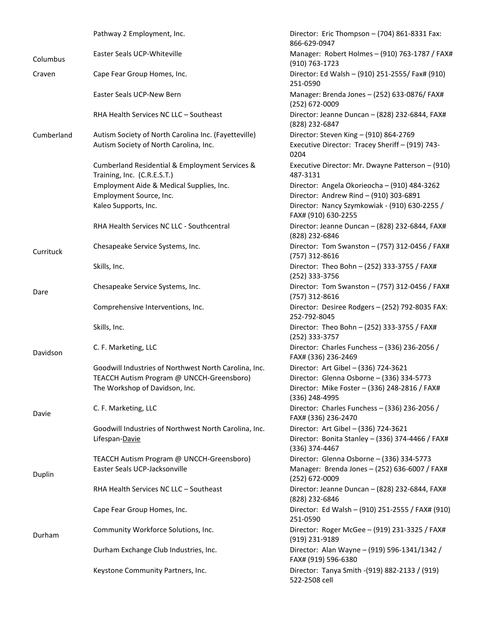|            | Pathway 2 Employment, Inc.                                                    | Director: Eric Thompson - (704) 861-8331 Fax:<br>866-629-0947        |
|------------|-------------------------------------------------------------------------------|----------------------------------------------------------------------|
| Columbus   | Easter Seals UCP-Whiteville                                                   | Manager: Robert Holmes - (910) 763-1787 / FAX#<br>$(910) 763 - 1723$ |
| Craven     | Cape Fear Group Homes, Inc.                                                   | Director: Ed Walsh - (910) 251-2555/ Fax# (910)<br>251-0590          |
|            | Easter Seals UCP-New Bern                                                     | Manager: Brenda Jones - (252) 633-0876/ FAX#<br>(252) 672-0009       |
|            | RHA Health Services NC LLC - Southeast                                        | Director: Jeanne Duncan - (828) 232-6844, FAX#<br>(828) 232-6847     |
| Cumberland | Autism Society of North Carolina Inc. (Fayetteville)                          | Director: Steven King - (910) 864-2769                               |
|            | Autism Society of North Carolina, Inc.                                        | Executive Director: Tracey Sheriff - (919) 743-<br>0204              |
|            | Cumberland Residential & Employment Services &<br>Training, Inc. (C.R.E.S.T.) | Executive Director: Mr. Dwayne Patterson - (910)<br>487-3131         |
|            | Employment Aide & Medical Supplies, Inc.                                      | Director: Angela Okorieocha - (910) 484-3262                         |
|            | Employment Source, Inc.                                                       | Director: Andrew Rind - (910) 303-6891                               |
|            | Kaleo Supports, Inc.                                                          | Director: Nancy Szymkowiak - (910) 630-2255 /<br>FAX# (910) 630-2255 |
|            | RHA Health Services NC LLC - Southcentral                                     | Director: Jeanne Duncan - (828) 232-6844, FAX#<br>(828) 232-6846     |
| Currituck  | Chesapeake Service Systems, Inc.                                              | Director: Tom Swanston - (757) 312-0456 / FAX#<br>(757) 312-8616     |
|            | Skills, Inc.                                                                  | Director: Theo Bohn - (252) 333-3755 / FAX#<br>(252) 333-3756        |
| Dare       | Chesapeake Service Systems, Inc.                                              | Director: Tom Swanston - (757) 312-0456 / FAX#<br>(757) 312-8616     |
|            | Comprehensive Interventions, Inc.                                             | Director: Desiree Rodgers - (252) 792-8035 FAX:<br>252-792-8045      |
|            | Skills, Inc.                                                                  | Director: Theo Bohn - (252) 333-3755 / FAX#<br>(252) 333-3757        |
| Davidson   | C. F. Marketing, LLC                                                          | Director: Charles Funchess - (336) 236-2056 /<br>FAX# (336) 236-2469 |
|            | Goodwill Industries of Northwest North Carolina, Inc.                         | Director: Art Gibel - (336) 724-3621                                 |
|            | TEACCH Autism Program @ UNCCH-Greensboro)                                     | Director: Glenna Osborne - (336) 334-5773                            |
|            | The Workshop of Davidson, Inc.                                                | Director: Mike Foster - (336) 248-2816 / FAX#<br>(336) 248-4995      |
| Davie      | C. F. Marketing, LLC                                                          | Director: Charles Funchess - (336) 236-2056 /<br>FAX# (336) 236-2470 |
|            | Goodwill Industries of Northwest North Carolina, Inc.                         | Director: Art Gibel - (336) 724-3621                                 |
|            | Lifespan-Davie                                                                | Director: Bonita Stanley - (336) 374-4466 / FAX#<br>(336) 374-4467   |
|            | TEACCH Autism Program @ UNCCH-Greensboro)                                     | Director: Glenna Osborne - (336) 334-5773                            |
| Duplin     | Easter Seals UCP-Jacksonville                                                 | Manager: Brenda Jones - (252) 636-6007 / FAX#<br>(252) 672-0009      |
|            | RHA Health Services NC LLC - Southeast                                        | Director: Jeanne Duncan - (828) 232-6844, FAX#<br>(828) 232-6846     |
|            | Cape Fear Group Homes, Inc.                                                   | Director: Ed Walsh - (910) 251-2555 / FAX# (910)<br>251-0590         |
| Durham     | Community Workforce Solutions, Inc.                                           | Director: Roger McGee - (919) 231-3325 / FAX#<br>(919) 231-9189      |
|            | Durham Exchange Club Industries, Inc.                                         | Director: Alan Wayne - (919) 596-1341/1342 /<br>FAX# (919) 596-6380  |
|            | Keystone Community Partners, Inc.                                             | Director: Tanya Smith - (919) 882-2133 / (919)<br>522-2508 cell      |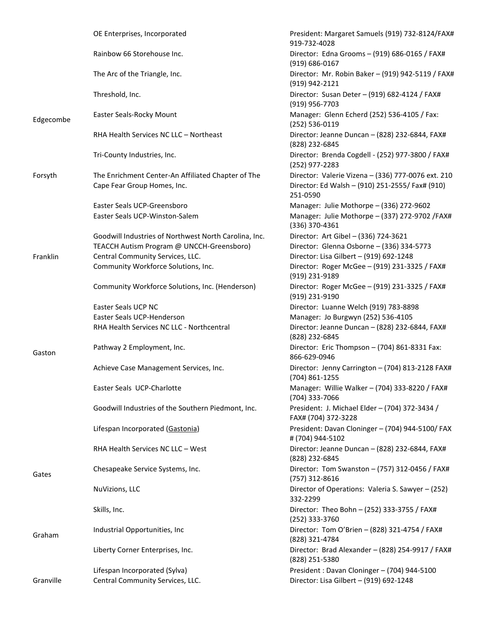|           | OE Enterprises, Incorporated                                                      | President: Margaret Samuels (919) 732-8124/FAX#<br>919-732-4028                                                   |
|-----------|-----------------------------------------------------------------------------------|-------------------------------------------------------------------------------------------------------------------|
|           | Rainbow 66 Storehouse Inc.                                                        | Director: Edna Grooms - (919) 686-0165 / FAX#<br>$(919) 686 - 0167$                                               |
|           | The Arc of the Triangle, Inc.                                                     | Director: Mr. Robin Baker - (919) 942-5119 / FAX#<br>(919) 942-2121                                               |
|           | Threshold, Inc.                                                                   | Director: Susan Deter - (919) 682-4124 / FAX#<br>(919) 956-7703                                                   |
| Edgecombe | Easter Seals-Rocky Mount                                                          | Manager: Glenn Echerd (252) 536-4105 / Fax:<br>(252) 536-0119                                                     |
|           | RHA Health Services NC LLC - Northeast                                            | Director: Jeanne Duncan - (828) 232-6844, FAX#<br>(828) 232-6845                                                  |
|           | Tri-County Industries, Inc.                                                       | Director: Brenda Cogdell - (252) 977-3800 / FAX#<br>(252) 977-2283                                                |
| Forsyth   | The Enrichment Center-An Affiliated Chapter of The<br>Cape Fear Group Homes, Inc. | Director: Valerie Vizena - (336) 777-0076 ext. 210<br>Director: Ed Walsh - (910) 251-2555/ Fax# (910)<br>251-0590 |
|           | Easter Seals UCP-Greensboro                                                       | Manager: Julie Mothorpe - (336) 272-9602                                                                          |
|           | Easter Seals UCP-Winston-Salem                                                    | Manager: Julie Mothorpe - (337) 272-9702 / FAX#<br>(336) 370-4361                                                 |
|           | Goodwill Industries of Northwest North Carolina, Inc.                             | Director: Art Gibel - (336) 724-3621                                                                              |
|           | TEACCH Autism Program @ UNCCH-Greensboro)                                         | Director: Glenna Osborne - (336) 334-5773                                                                         |
| Franklin  | Central Community Services, LLC.                                                  | Director: Lisa Gilbert - (919) 692-1248                                                                           |
|           | Community Workforce Solutions, Inc.                                               | Director: Roger McGee - (919) 231-3325 / FAX#<br>(919) 231-9189                                                   |
|           | Community Workforce Solutions, Inc. (Henderson)                                   | Director: Roger McGee - (919) 231-3325 / FAX#<br>(919) 231-9190                                                   |
|           | Easter Seals UCP NC                                                               | Director: Luanne Welch (919) 783-8898                                                                             |
|           | Easter Seals UCP-Henderson                                                        | Manager: Jo Burgwyn (252) 536-4105                                                                                |
|           | RHA Health Services NC LLC - Northcentral                                         | Director: Jeanne Duncan - (828) 232-6844, FAX#<br>(828) 232-6845                                                  |
| Gaston    | Pathway 2 Employment, Inc.                                                        | Director: Eric Thompson - (704) 861-8331 Fax:<br>866-629-0946                                                     |
|           | Achieve Case Management Services, Inc.                                            | Director: Jenny Carrington - (704) 813-2128 FAX#<br>(704) 861-1255                                                |
|           | Easter Seals UCP-Charlotte                                                        | Manager: Willie Walker - (704) 333-8220 / FAX#<br>(704) 333-7066                                                  |
|           | Goodwill Industries of the Southern Piedmont, Inc.                                | President: J. Michael Elder - (704) 372-3434 /<br>FAX# (704) 372-3228                                             |
|           | Lifespan Incorporated (Gastonia)                                                  | President: Davan Cloninger - (704) 944-5100/ FAX<br># (704) 944-5102                                              |
|           | RHA Health Services NC LLC - West                                                 | Director: Jeanne Duncan - (828) 232-6844, FAX#<br>(828) 232-6845                                                  |
| Gates     | Chesapeake Service Systems, Inc.                                                  | Director: Tom Swanston - (757) 312-0456 / FAX#<br>(757) 312-8616                                                  |
|           | NuVizions, LLC                                                                    | Director of Operations: Valeria S. Sawyer - (252)<br>332-2299                                                     |
|           | Skills, Inc.                                                                      | Director: Theo Bohn - (252) 333-3755 / FAX#<br>(252) 333-3760                                                     |
| Graham    | Industrial Opportunities, Inc.                                                    | Director: Tom O'Brien - (828) 321-4754 / FAX#<br>(828) 321-4784                                                   |
|           | Liberty Corner Enterprises, Inc.                                                  | Director: Brad Alexander - (828) 254-9917 / FAX#<br>(828) 251-5380                                                |
|           | Lifespan Incorporated (Sylva)                                                     | President: Davan Cloninger - (704) 944-5100                                                                       |
| Granville | Central Community Services, LLC.                                                  | Director: Lisa Gilbert - (919) 692-1248                                                                           |
|           |                                                                                   |                                                                                                                   |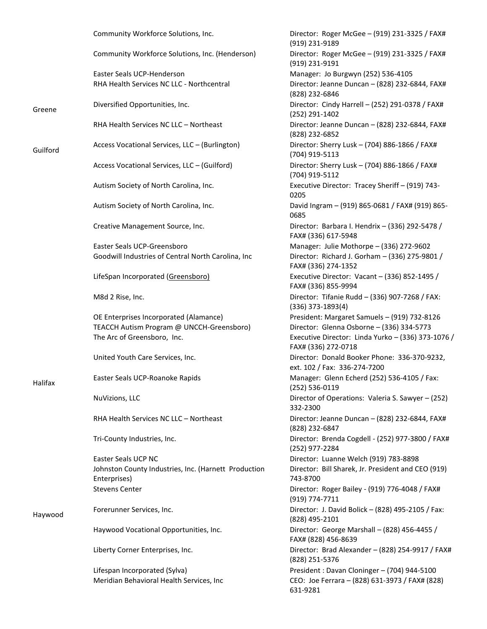|          | Community Workforce Solutions, Inc.                                  | Director: Roger McGee - (919) 231-3325 / FAX#<br>(919) 231-9189              |
|----------|----------------------------------------------------------------------|------------------------------------------------------------------------------|
|          | Community Workforce Solutions, Inc. (Henderson)                      | Director: Roger McGee - (919) 231-3325 / FAX#<br>(919) 231-9191              |
|          | Easter Seals UCP-Henderson                                           | Manager: Jo Burgwyn (252) 536-4105                                           |
|          | RHA Health Services NC LLC - Northcentral                            | Director: Jeanne Duncan - (828) 232-6844, FAX#<br>(828) 232-6846             |
| Greene   | Diversified Opportunities, Inc.                                      | Director: Cindy Harrell - (252) 291-0378 / FAX#<br>(252) 291-1402            |
|          | RHA Health Services NC LLC - Northeast                               | Director: Jeanne Duncan - (828) 232-6844, FAX#<br>(828) 232-6852             |
| Guilford | Access Vocational Services, LLC - (Burlington)                       | Director: Sherry Lusk - (704) 886-1866 / FAX#<br>(704) 919-5113              |
|          | Access Vocational Services, LLC - (Guilford)                         | Director: Sherry Lusk - (704) 886-1866 / FAX#<br>(704) 919-5112              |
|          | Autism Society of North Carolina, Inc.                               | Executive Director: Tracey Sheriff - (919) 743-<br>0205                      |
|          | Autism Society of North Carolina, Inc.                               | David Ingram - (919) 865-0681 / FAX# (919) 865-<br>0685                      |
|          | Creative Management Source, Inc.                                     | Director: Barbara I. Hendrix - (336) 292-5478 /<br>FAX# (336) 617-5948       |
|          | Easter Seals UCP-Greensboro                                          | Manager: Julie Mothorpe - (336) 272-9602                                     |
|          | Goodwill Industries of Central North Carolina, Inc                   | Director: Richard J. Gorham - (336) 275-9801 /<br>FAX# (336) 274-1352        |
|          | LifeSpan Incorporated (Greensboro)                                   | Executive Director: Vacant - (336) 852-1495 /<br>FAX# (336) 855-9994         |
|          | M8d 2 Rise, Inc.                                                     | Director: Tifanie Rudd - (336) 907-7268 / FAX:<br>$(336)$ 373-1893(4)        |
|          | OE Enterprises Incorporated (Alamance)                               | President: Margaret Samuels - (919) 732-8126                                 |
|          | TEACCH Autism Program @ UNCCH-Greensboro)                            | Director: Glenna Osborne - (336) 334-5773                                    |
|          | The Arc of Greensboro, Inc.                                          | Executive Director: Linda Yurko - (336) 373-1076 /<br>FAX# (336) 272-0718    |
|          | United Youth Care Services, Inc.                                     | Director: Donald Booker Phone: 336-370-9232,<br>ext. 102 / Fax: 336-274-7200 |
| Halifax  | Easter Seals UCP-Roanoke Rapids                                      | Manager: Glenn Echerd (252) 536-4105 / Fax:<br>(252) 536-0119                |
|          | NuVizions, LLC                                                       | Director of Operations: Valeria S. Sawyer - (252)<br>332-2300                |
|          | RHA Health Services NC LLC - Northeast                               | Director: Jeanne Duncan - (828) 232-6844, FAX#<br>(828) 232-6847             |
|          | Tri-County Industries, Inc.                                          | Director: Brenda Cogdell - (252) 977-3800 / FAX#<br>(252) 977-2284           |
|          | Easter Seals UCP NC                                                  | Director: Luanne Welch (919) 783-8898                                        |
|          | Johnston County Industries, Inc. (Harnett Production<br>Enterprises) | Director: Bill Sharek, Jr. President and CEO (919)<br>743-8700               |
|          | <b>Stevens Center</b>                                                | Director: Roger Bailey - (919) 776-4048 / FAX#<br>(919) 774-7711             |
| Haywood  | Forerunner Services, Inc.                                            | Director: J. David Bolick - (828) 495-2105 / Fax:<br>(828) 495-2101          |
|          | Haywood Vocational Opportunities, Inc.                               | Director: George Marshall - (828) 456-4455 /<br>FAX# (828) 456-8639          |
|          | Liberty Corner Enterprises, Inc.                                     | Director: Brad Alexander - (828) 254-9917 / FAX#<br>(828) 251-5376           |
|          | Lifespan Incorporated (Sylva)                                        | President: Davan Cloninger - (704) 944-5100                                  |
|          | Meridian Behavioral Health Services, Inc                             | CEO: Joe Ferrara - (828) 631-3973 / FAX# (828)<br>631-9281                   |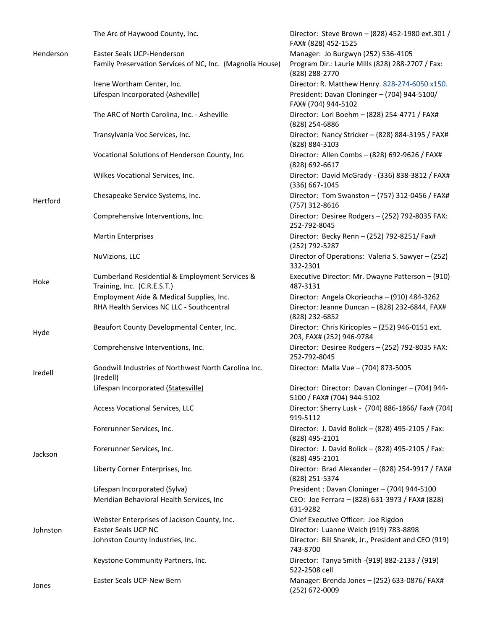|           | The Arc of Haywood County, Inc.                                               | Director: Steve Brown - (828) 452-1980 ext.301 /<br>FAX# (828) 452-1525        |
|-----------|-------------------------------------------------------------------------------|--------------------------------------------------------------------------------|
| Henderson | Easter Seals UCP-Henderson                                                    | Manager: Jo Burgwyn (252) 536-4105                                             |
|           | Family Preservation Services of NC, Inc. (Magnolia House)                     | Program Dir.: Laurie Mills (828) 288-2707 / Fax:<br>(828) 288-2770             |
|           | Irene Wortham Center, Inc.                                                    | Director: R. Matthew Henry. 828-274-6050 x150.                                 |
|           | Lifespan Incorporated (Asheville)                                             | President: Davan Cloninger - (704) 944-5100/<br>FAX# (704) 944-5102            |
|           | The ARC of North Carolina, Inc. - Asheville                                   | Director: Lori Boehm - (828) 254-4771 / FAX#<br>(828) 254-6886                 |
|           | Transylvania Voc Services, Inc.                                               | Director: Nancy Stricker - (828) 884-3195 / FAX#<br>(828) 884-3103             |
|           | Vocational Solutions of Henderson County, Inc.                                | Director: Allen Combs - (828) 692-9626 / FAX#<br>(828) 692-6617                |
|           | Wilkes Vocational Services, Inc.                                              | Director: David McGrady - (336) 838-3812 / FAX#<br>(336) 667-1045              |
| Hertford  | Chesapeake Service Systems, Inc.                                              | Director: Tom Swanston - (757) 312-0456 / FAX#<br>(757) 312-8616               |
|           | Comprehensive Interventions, Inc.                                             | Director: Desiree Rodgers - (252) 792-8035 FAX:<br>252-792-8045                |
|           | <b>Martin Enterprises</b>                                                     | Director: Becky Renn - (252) 792-8251/ Fax#<br>(252) 792-5287                  |
|           | NuVizions, LLC                                                                | Director of Operations: Valeria S. Sawyer - (252)<br>332-2301                  |
| Hoke      | Cumberland Residential & Employment Services &<br>Training, Inc. (C.R.E.S.T.) | Executive Director: Mr. Dwayne Patterson - (910)<br>487-3131                   |
|           | Employment Aide & Medical Supplies, Inc.                                      | Director: Angela Okorieocha - (910) 484-3262                                   |
|           | RHA Health Services NC LLC - Southcentral                                     | Director: Jeanne Duncan - (828) 232-6844, FAX#<br>(828) 232-6852               |
| Hyde      | Beaufort County Developmental Center, Inc.                                    | Director: Chris Kiricoples - (252) 946-0151 ext.<br>203, FAX# (252) 946-9784   |
|           | Comprehensive Interventions, Inc.                                             | Director: Desiree Rodgers - (252) 792-8035 FAX:<br>252-792-8045                |
| Iredell   | Goodwill Industries of Northwest North Carolina Inc.<br>(Iredell)             | Director: Malla Vue - (704) 873-5005                                           |
|           | Lifespan Incorporated (Statesville)                                           | Director: Director: Davan Cloninger - (704) 944-<br>5100 / FAX# (704) 944-5102 |
|           | Access Vocational Services, LLC                                               | Director: Sherry Lusk - (704) 886-1866/ Fax# (704)<br>919-5112                 |
|           | Forerunner Services, Inc.                                                     | Director: J. David Bolick - (828) 495-2105 / Fax:<br>(828) 495-2101            |
| Jackson   | Forerunner Services, Inc.                                                     | Director: J. David Bolick - (828) 495-2105 / Fax:<br>(828) 495-2101            |
|           | Liberty Corner Enterprises, Inc.                                              | Director: Brad Alexander - (828) 254-9917 / FAX#<br>(828) 251-5374             |
|           | Lifespan Incorporated (Sylva)                                                 | President: Davan Cloninger - (704) 944-5100                                    |
|           | Meridian Behavioral Health Services, Inc                                      | CEO: Joe Ferrara - (828) 631-3973 / FAX# (828)<br>631-9282                     |
|           | Webster Enterprises of Jackson County, Inc.                                   | Chief Executive Officer: Joe Rigdon                                            |
| Johnston  | Easter Seals UCP NC                                                           | Director: Luanne Welch (919) 783-8898                                          |
|           | Johnston County Industries, Inc.                                              | Director: Bill Sharek, Jr., President and CEO (919)<br>743-8700                |
|           | Keystone Community Partners, Inc.                                             | Director: Tanya Smith - (919) 882-2133 / (919)<br>522-2508 cell                |
| Jones     | Easter Seals UCP-New Bern                                                     | Manager: Brenda Jones - (252) 633-0876/ FAX#<br>(252) 672-0009                 |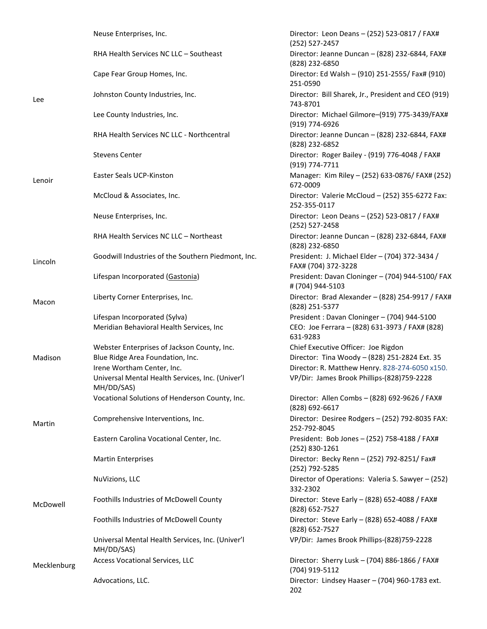|             | Neuse Enterprises, Inc.                                        | Director: Leon Deans - (252) 523-0817 / FAX#<br>(252) 527-2457        |
|-------------|----------------------------------------------------------------|-----------------------------------------------------------------------|
|             | RHA Health Services NC LLC - Southeast                         | Director: Jeanne Duncan - (828) 232-6844, FAX#<br>(828) 232-6850      |
|             | Cape Fear Group Homes, Inc.                                    | Director: Ed Walsh - (910) 251-2555/ Fax# (910)<br>251-0590           |
| Lee         | Johnston County Industries, Inc.                               | Director: Bill Sharek, Jr., President and CEO (919)<br>743-8701       |
|             | Lee County Industries, Inc.                                    | Director: Michael Gilmore-(919) 775-3439/FAX#<br>(919) 774-6926       |
|             | RHA Health Services NC LLC - Northcentral                      | Director: Jeanne Duncan - (828) 232-6844, FAX#<br>(828) 232-6852      |
|             | <b>Stevens Center</b>                                          | Director: Roger Bailey - (919) 776-4048 / FAX#<br>(919) 774-7711      |
| Lenoir      | Easter Seals UCP-Kinston                                       | Manager: Kim Riley - (252) 633-0876/ FAX# (252)<br>672-0009           |
|             | McCloud & Associates, Inc.                                     | Director: Valerie McCloud - (252) 355-6272 Fax:<br>252-355-0117       |
|             | Neuse Enterprises, Inc.                                        | Director: Leon Deans - (252) 523-0817 / FAX#<br>(252) 527-2458        |
|             | RHA Health Services NC LLC - Northeast                         | Director: Jeanne Duncan - (828) 232-6844, FAX#<br>(828) 232-6850      |
| Lincoln     | Goodwill Industries of the Southern Piedmont, Inc.             | President: J. Michael Elder - (704) 372-3434 /<br>FAX# (704) 372-3228 |
|             | Lifespan Incorporated (Gastonia)                               | President: Davan Cloninger - (704) 944-5100/ FAX<br># (704) 944-5103  |
| Macon       | Liberty Corner Enterprises, Inc.                               | Director: Brad Alexander - (828) 254-9917 / FAX#<br>(828) 251-5377    |
|             | Lifespan Incorporated (Sylva)                                  | President: Davan Cloninger - (704) 944-5100                           |
|             | Meridian Behavioral Health Services, Inc                       | CEO: Joe Ferrara - (828) 631-3973 / FAX# (828)<br>631-9283            |
|             | Webster Enterprises of Jackson County, Inc.                    | Chief Executive Officer: Joe Rigdon                                   |
| Madison     | Blue Ridge Area Foundation, Inc.                               | Director: Tina Woody - (828) 251-2824 Ext. 35                         |
|             | Irene Wortham Center, Inc.                                     | Director: R. Matthew Henry. 828-274-6050 x150.                        |
|             | Universal Mental Health Services, Inc. (Univer'l<br>MH/DD/SAS) | VP/Dir: James Brook Phillips-(828)759-2228                            |
|             | Vocational Solutions of Henderson County, Inc.                 | Director: Allen Combs - (828) 692-9626 / FAX#<br>(828) 692-6617       |
| Martin      | Comprehensive Interventions, Inc.                              | Director: Desiree Rodgers - (252) 792-8035 FAX:<br>252-792-8045       |
|             | Eastern Carolina Vocational Center, Inc.                       | President: Bob Jones - (252) 758-4188 / FAX#<br>(252) 830-1261        |
|             | <b>Martin Enterprises</b>                                      | Director: Becky Renn - (252) 792-8251/ Fax#<br>(252) 792-5285         |
|             | NuVizions, LLC                                                 | Director of Operations: Valeria S. Sawyer - (252)<br>332-2302         |
| McDowell    | Foothills Industries of McDowell County                        | Director: Steve Early - (828) 652-4088 / FAX#<br>(828) 652-7527       |
|             | Foothills Industries of McDowell County                        | Director: Steve Early - (828) 652-4088 / FAX#<br>(828) 652-7527       |
|             | Universal Mental Health Services, Inc. (Univer'l<br>MH/DD/SAS) | VP/Dir: James Brook Phillips-(828)759-2228                            |
| Mecklenburg | Access Vocational Services, LLC                                | Director: Sherry Lusk - (704) 886-1866 / FAX#<br>(704) 919-5112       |
|             | Advocations, LLC.                                              | Director: Lindsey Haaser - (704) 960-1783 ext.<br>202                 |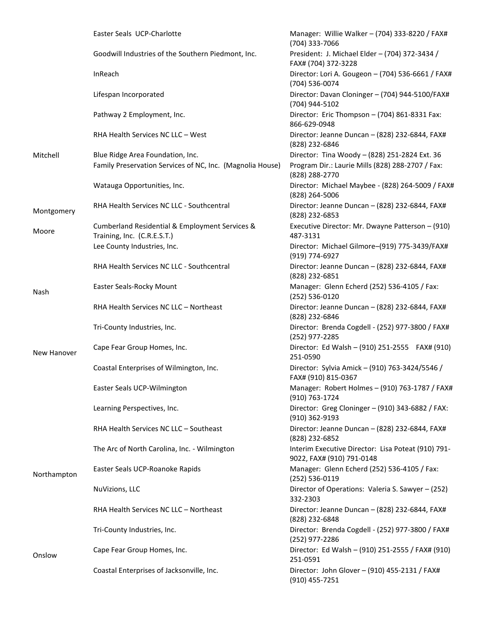|             | Easter Seals UCP-Charlotte                                                    | Manager: Willie Walker - (704) 333-8220 / FAX#<br>(704) 333-7066                |
|-------------|-------------------------------------------------------------------------------|---------------------------------------------------------------------------------|
|             | Goodwill Industries of the Southern Piedmont, Inc.                            | President: J. Michael Elder - (704) 372-3434 /<br>FAX# (704) 372-3228           |
|             | InReach                                                                       | Director: Lori A. Gougeon - (704) 536-6661 / FAX#<br>(704) 536-0074             |
|             | Lifespan Incorporated                                                         | Director: Davan Cloninger - (704) 944-5100/FAX#<br>(704) 944-5102               |
|             | Pathway 2 Employment, Inc.                                                    | Director: Eric Thompson - (704) 861-8331 Fax:<br>866-629-0948                   |
|             | RHA Health Services NC LLC - West                                             | Director: Jeanne Duncan - (828) 232-6844, FAX#<br>(828) 232-6846                |
| Mitchell    | Blue Ridge Area Foundation, Inc.                                              | Director: Tina Woody - (828) 251-2824 Ext. 36                                   |
|             | Family Preservation Services of NC, Inc. (Magnolia House)                     | Program Dir.: Laurie Mills (828) 288-2707 / Fax:<br>(828) 288-2770              |
|             | Watauga Opportunities, Inc.                                                   | Director: Michael Maybee - (828) 264-5009 / FAX#<br>(828) 264-5006              |
| Montgomery  | RHA Health Services NC LLC - Southcentral                                     | Director: Jeanne Duncan - (828) 232-6844, FAX#<br>(828) 232-6853                |
| Moore       | Cumberland Residential & Employment Services &<br>Training, Inc. (C.R.E.S.T.) | Executive Director: Mr. Dwayne Patterson - (910)<br>487-3131                    |
|             | Lee County Industries, Inc.                                                   | Director: Michael Gilmore-(919) 775-3439/FAX#<br>(919) 774-6927                 |
|             | RHA Health Services NC LLC - Southcentral                                     | Director: Jeanne Duncan - (828) 232-6844, FAX#<br>(828) 232-6851                |
| Nash        | Easter Seals-Rocky Mount                                                      | Manager: Glenn Echerd (252) 536-4105 / Fax:<br>(252) 536-0120                   |
|             | RHA Health Services NC LLC - Northeast                                        | Director: Jeanne Duncan - (828) 232-6844, FAX#<br>(828) 232-6846                |
|             | Tri-County Industries, Inc.                                                   | Director: Brenda Cogdell - (252) 977-3800 / FAX#<br>(252) 977-2285              |
| New Hanover | Cape Fear Group Homes, Inc.                                                   | Director: Ed Walsh - (910) 251-2555 FAX# (910)<br>251-0590                      |
|             | Coastal Enterprises of Wilmington, Inc.                                       | Director: Sylvia Amick - (910) 763-3424/5546 /<br>FAX# (910) 815-0367           |
|             | Easter Seals UCP-Wilmington                                                   | Manager: Robert Holmes - (910) 763-1787 / FAX#<br>(910) 763-1724                |
|             | Learning Perspectives, Inc.                                                   | Director: Greg Cloninger - (910) 343-6882 / FAX:<br>(910) 362-9193              |
|             | RHA Health Services NC LLC - Southeast                                        | Director: Jeanne Duncan - (828) 232-6844, FAX#<br>(828) 232-6852                |
|             | The Arc of North Carolina, Inc. - Wilmington                                  | Interim Executive Director: Lisa Poteat (910) 791-<br>9022, FAX# (910) 791-0148 |
| Northampton | Easter Seals UCP-Roanoke Rapids                                               | Manager: Glenn Echerd (252) 536-4105 / Fax:<br>(252) 536-0119                   |
|             | NuVizions, LLC                                                                | Director of Operations: Valeria S. Sawyer - (252)<br>332-2303                   |
|             | RHA Health Services NC LLC - Northeast                                        | Director: Jeanne Duncan - (828) 232-6844, FAX#<br>(828) 232-6848                |
|             | Tri-County Industries, Inc.                                                   | Director: Brenda Cogdell - (252) 977-3800 / FAX#<br>(252) 977-2286              |
| Onslow      | Cape Fear Group Homes, Inc.                                                   | Director: Ed Walsh - (910) 251-2555 / FAX# (910)<br>251-0591                    |
|             | Coastal Enterprises of Jacksonville, Inc.                                     | Director: John Glover - (910) 455-2131 / FAX#<br>(910) 455-7251                 |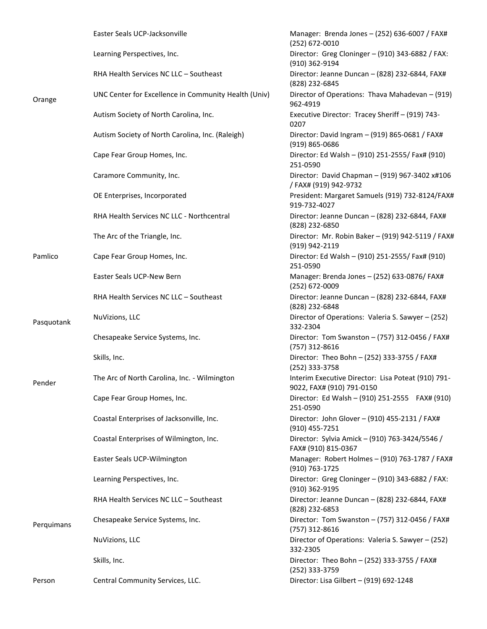|            | Easter Seals UCP-Jacksonville                        | Manager: Brenda Jones - (252) 636-6007 / FAX#<br>(252) 672-0010                 |
|------------|------------------------------------------------------|---------------------------------------------------------------------------------|
|            | Learning Perspectives, Inc.                          | Director: Greg Cloninger - (910) 343-6882 / FAX:<br>(910) 362-9194              |
|            | RHA Health Services NC LLC - Southeast               | Director: Jeanne Duncan - (828) 232-6844, FAX#<br>(828) 232-6845                |
| Orange     | UNC Center for Excellence in Community Health (Univ) | Director of Operations: Thava Mahadevan - (919)<br>962-4919                     |
|            | Autism Society of North Carolina, Inc.               | Executive Director: Tracey Sheriff - (919) 743-<br>0207                         |
|            | Autism Society of North Carolina, Inc. (Raleigh)     | Director: David Ingram - (919) 865-0681 / FAX#<br>$(919) 865 - 0686$            |
|            | Cape Fear Group Homes, Inc.                          | Director: Ed Walsh - (910) 251-2555/ Fax# (910)<br>251-0590                     |
|            | Caramore Community, Inc.                             | Director: David Chapman - (919) 967-3402 x#106<br>/FAX# (919) 942-9732          |
|            | OE Enterprises, Incorporated                         | President: Margaret Samuels (919) 732-8124/FAX#<br>919-732-4027                 |
|            | RHA Health Services NC LLC - Northcentral            | Director: Jeanne Duncan - (828) 232-6844, FAX#<br>(828) 232-6850                |
|            | The Arc of the Triangle, Inc.                        | Director: Mr. Robin Baker - (919) 942-5119 / FAX#<br>(919) 942-2119             |
| Pamlico    | Cape Fear Group Homes, Inc.                          | Director: Ed Walsh - (910) 251-2555/ Fax# (910)<br>251-0590                     |
|            | Easter Seals UCP-New Bern                            | Manager: Brenda Jones - (252) 633-0876/ FAX#<br>(252) 672-0009                  |
|            | RHA Health Services NC LLC - Southeast               | Director: Jeanne Duncan - (828) 232-6844, FAX#<br>(828) 232-6848                |
| Pasquotank | NuVizions, LLC                                       | Director of Operations: Valeria S. Sawyer - (252)<br>332-2304                   |
|            | Chesapeake Service Systems, Inc.                     | Director: Tom Swanston - (757) 312-0456 / FAX#<br>(757) 312-8616                |
|            | Skills, Inc.                                         | Director: Theo Bohn - (252) 333-3755 / FAX#<br>(252) 333-3758                   |
| Pender     | The Arc of North Carolina, Inc. - Wilmington         | Interim Executive Director: Lisa Poteat (910) 791-<br>9022, FAX# (910) 791-0150 |
|            | Cape Fear Group Homes, Inc.                          | Director: Ed Walsh - (910) 251-2555 FAX# (910)<br>251-0590                      |
|            | Coastal Enterprises of Jacksonville, Inc.            | Director: John Glover - (910) 455-2131 / FAX#<br>(910) 455-7251                 |
|            | Coastal Enterprises of Wilmington, Inc.              | Director: Sylvia Amick - (910) 763-3424/5546 /<br>FAX# (910) 815-0367           |
|            | Easter Seals UCP-Wilmington                          | Manager: Robert Holmes - (910) 763-1787 / FAX#<br>(910) 763-1725                |
|            | Learning Perspectives, Inc.                          | Director: Greg Cloninger - (910) 343-6882 / FAX:<br>(910) 362-9195              |
|            | RHA Health Services NC LLC - Southeast               | Director: Jeanne Duncan - (828) 232-6844, FAX#<br>(828) 232-6853                |
| Perquimans | Chesapeake Service Systems, Inc.                     | Director: Tom Swanston - (757) 312-0456 / FAX#<br>(757) 312-8616                |
|            | NuVizions, LLC                                       | Director of Operations: Valeria S. Sawyer - (252)<br>332-2305                   |
|            | Skills, Inc.                                         | Director: Theo Bohn - (252) 333-3755 / FAX#<br>(252) 333-3759                   |
| Person     | Central Community Services, LLC.                     | Director: Lisa Gilbert - (919) 692-1248                                         |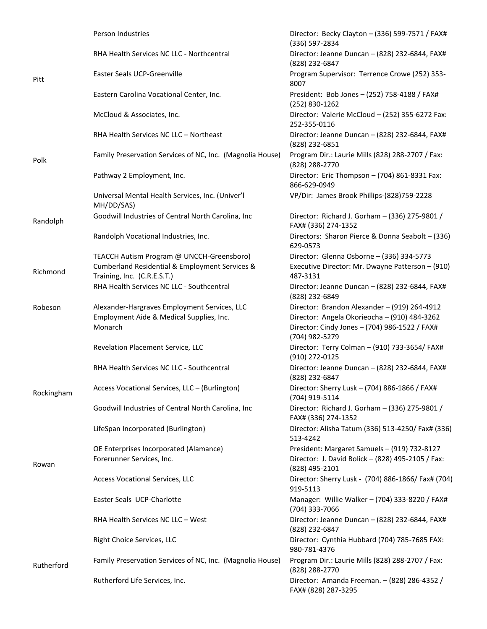|            | Person Industries                                              | Director: Becky Clayton - (336) 599-7571 / FAX#<br>(336) 597-2834                             |
|------------|----------------------------------------------------------------|-----------------------------------------------------------------------------------------------|
|            | RHA Health Services NC LLC - Northcentral                      | Director: Jeanne Duncan - (828) 232-6844, FAX#<br>(828) 232-6847                              |
| Pitt       | Easter Seals UCP-Greenville                                    | Program Supervisor: Terrence Crowe (252) 353-<br>8007                                         |
|            | Eastern Carolina Vocational Center, Inc.                       | President: Bob Jones - (252) 758-4188 / FAX#<br>(252) 830-1262                                |
|            | McCloud & Associates, Inc.                                     | Director: Valerie McCloud - (252) 355-6272 Fax:<br>252-355-0116                               |
|            | RHA Health Services NC LLC - Northeast                         | Director: Jeanne Duncan - (828) 232-6844, FAX#<br>(828) 232-6851                              |
| Polk       | Family Preservation Services of NC, Inc. (Magnolia House)      | Program Dir.: Laurie Mills (828) 288-2707 / Fax:<br>(828) 288-2770                            |
|            | Pathway 2 Employment, Inc.                                     | Director: Eric Thompson - (704) 861-8331 Fax:<br>866-629-0949                                 |
|            | Universal Mental Health Services, Inc. (Univer'l<br>MH/DD/SAS) | VP/Dir: James Brook Phillips-(828)759-2228                                                    |
| Randolph   | Goodwill Industries of Central North Carolina, Inc             | Director: Richard J. Gorham - (336) 275-9801 /<br>FAX# (336) 274-1352                         |
|            | Randolph Vocational Industries, Inc.                           | Directors: Sharon Pierce & Donna Seabolt - (336)<br>629-0573                                  |
|            | TEACCH Autism Program @ UNCCH-Greensboro)                      | Director: Glenna Osborne - (336) 334-5773                                                     |
| Richmond   | Cumberland Residential & Employment Services &                 | Executive Director: Mr. Dwayne Patterson - (910)                                              |
|            | Training, Inc. (C.R.E.S.T.)                                    | 487-3131                                                                                      |
|            | RHA Health Services NC LLC - Southcentral                      | Director: Jeanne Duncan - (828) 232-6844, FAX#<br>(828) 232-6849                              |
| Robeson    | Alexander-Hargraves Employment Services, LLC                   | Director: Brandon Alexander - (919) 264-4912                                                  |
|            | Employment Aide & Medical Supplies, Inc.<br>Monarch            | Director: Angela Okorieocha - (910) 484-3262<br>Director: Cindy Jones - (704) 986-1522 / FAX# |
|            |                                                                | (704) 982-5279                                                                                |
|            | Revelation Placement Service, LLC                              | Director: Terry Colman - (910) 733-3654/ FAX#<br>(910) 272-0125                               |
|            | RHA Health Services NC LLC - Southcentral                      | Director: Jeanne Duncan - (828) 232-6844, FAX#<br>(828) 232-6847                              |
| Rockingham | Access Vocational Services, LLC - (Burlington)                 | Director: Sherry Lusk - (704) 886-1866 / FAX#<br>(704) 919-5114                               |
|            | Goodwill Industries of Central North Carolina, Inc             | Director: Richard J. Gorham - (336) 275-9801 /<br>FAX# (336) 274-1352                         |
|            | LifeSpan Incorporated (Burlington)                             | Director: Alisha Tatum (336) 513-4250/ Fax# (336)<br>513-4242                                 |
|            | OE Enterprises Incorporated (Alamance)                         | President: Margaret Samuels - (919) 732-8127                                                  |
| Rowan      | Forerunner Services, Inc.                                      | Director: J. David Bolick - (828) 495-2105 / Fax:<br>(828) 495-2101                           |
|            | <b>Access Vocational Services, LLC</b>                         | Director: Sherry Lusk - (704) 886-1866/ Fax# (704)<br>919-5113                                |
|            | Easter Seals UCP-Charlotte                                     | Manager: Willie Walker - (704) 333-8220 / FAX#<br>(704) 333-7066                              |
|            | RHA Health Services NC LLC - West                              | Director: Jeanne Duncan - (828) 232-6844, FAX#<br>(828) 232-6847                              |
|            | Right Choice Services, LLC                                     | Director: Cynthia Hubbard (704) 785-7685 FAX:<br>980-781-4376                                 |
| Rutherford | Family Preservation Services of NC, Inc. (Magnolia House)      | Program Dir.: Laurie Mills (828) 288-2707 / Fax:<br>(828) 288-2770                            |
|            | Rutherford Life Services, Inc.                                 | Director: Amanda Freeman. - (828) 286-4352 /<br>FAX# (828) 287-3295                           |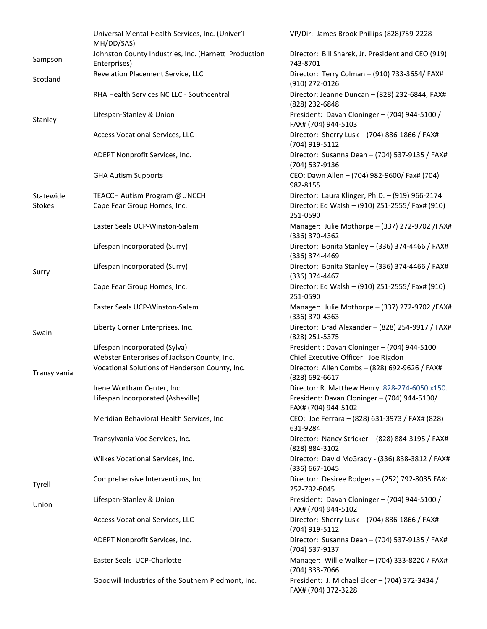|               | Universal Mental Health Services, Inc. (Univer'l<br>MH/DD/SAS)       | VP/Dir: James Brook Phillips-(828)759-2228                            |
|---------------|----------------------------------------------------------------------|-----------------------------------------------------------------------|
| Sampson       | Johnston County Industries, Inc. (Harnett Production<br>Enterprises) | Director: Bill Sharek, Jr. President and CEO (919)<br>743-8701        |
| Scotland      | Revelation Placement Service, LLC                                    | Director: Terry Colman - (910) 733-3654/ FAX#<br>(910) 272-0126       |
|               | RHA Health Services NC LLC - Southcentral                            | Director: Jeanne Duncan - (828) 232-6844, FAX#<br>(828) 232-6848      |
| Stanley       | Lifespan-Stanley & Union                                             | President: Davan Cloninger - (704) 944-5100 /<br>FAX# (704) 944-5103  |
|               | Access Vocational Services, LLC                                      | Director: Sherry Lusk - (704) 886-1866 / FAX#<br>(704) 919-5112       |
|               | ADEPT Nonprofit Services, Inc.                                       | Director: Susanna Dean - (704) 537-9135 / FAX#<br>(704) 537-9136      |
|               | <b>GHA Autism Supports</b>                                           | CEO: Dawn Allen - (704) 982-9600/ Fax# (704)<br>982-8155              |
| Statewide     | TEACCH Autism Program @UNCCH                                         | Director: Laura Klinger, Ph.D. - (919) 966-2174                       |
| <b>Stokes</b> | Cape Fear Group Homes, Inc.                                          | Director: Ed Walsh - (910) 251-2555/ Fax# (910)<br>251-0590           |
|               | Easter Seals UCP-Winston-Salem                                       | Manager: Julie Mothorpe - (337) 272-9702 / FAX#<br>(336) 370-4362     |
|               | Lifespan Incorporated (Surry)                                        | Director: Bonita Stanley - (336) 374-4466 / FAX#<br>(336) 374-4469    |
| Surry         | Lifespan Incorporated (Surry)                                        | Director: Bonita Stanley - (336) 374-4466 / FAX#<br>(336) 374-4467    |
|               | Cape Fear Group Homes, Inc.                                          | Director: Ed Walsh - (910) 251-2555/ Fax# (910)<br>251-0590           |
|               | Easter Seals UCP-Winston-Salem                                       | Manager: Julie Mothorpe - (337) 272-9702 / FAX#<br>(336) 370-4363     |
| Swain         | Liberty Corner Enterprises, Inc.                                     | Director: Brad Alexander - (828) 254-9917 / FAX#<br>(828) 251-5375    |
|               | Lifespan Incorporated (Sylva)                                        | President: Davan Cloninger - (704) 944-5100                           |
|               | Webster Enterprises of Jackson County, Inc.                          | Chief Executive Officer: Joe Rigdon                                   |
| Transylvania  | Vocational Solutions of Henderson County, Inc.                       | Director: Allen Combs - (828) 692-9626 / FAX#<br>(828) 692-6617       |
|               | Irene Wortham Center, Inc.                                           | Director: R. Matthew Henry. 828-274-6050 x150.                        |
|               | Lifespan Incorporated (Asheville)                                    | President: Davan Cloninger - (704) 944-5100/<br>FAX# (704) 944-5102   |
|               | Meridian Behavioral Health Services, Inc                             | CEO: Joe Ferrara - (828) 631-3973 / FAX# (828)<br>631-9284            |
|               | Transylvania Voc Services, Inc.                                      | Director: Nancy Stricker - (828) 884-3195 / FAX#<br>(828) 884-3102    |
|               | Wilkes Vocational Services, Inc.                                     | Director: David McGrady - (336) 838-3812 / FAX#<br>(336) 667-1045     |
| Tyrell        | Comprehensive Interventions, Inc.                                    | Director: Desiree Rodgers - (252) 792-8035 FAX:<br>252-792-8045       |
| Union         | Lifespan-Stanley & Union                                             | President: Davan Cloninger - (704) 944-5100 /<br>FAX# (704) 944-5102  |
|               | Access Vocational Services, LLC                                      | Director: Sherry Lusk - (704) 886-1866 / FAX#<br>(704) 919-5112       |
|               | ADEPT Nonprofit Services, Inc.                                       | Director: Susanna Dean - (704) 537-9135 / FAX#<br>(704) 537-9137      |
|               | Easter Seals UCP-Charlotte                                           | Manager: Willie Walker - (704) 333-8220 / FAX#<br>(704) 333-7066      |
|               | Goodwill Industries of the Southern Piedmont, Inc.                   | President: J. Michael Elder - (704) 372-3434 /<br>FAX# (704) 372-3228 |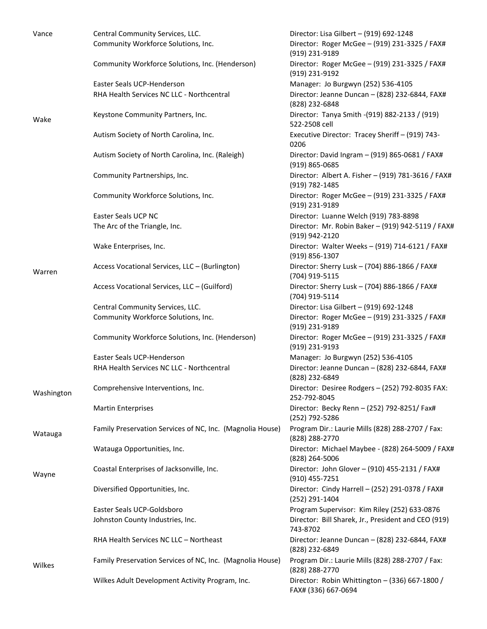| Vance      | Central Community Services, LLC.                          | Director: Lisa Gilbert - (919) 692-1248                               |
|------------|-----------------------------------------------------------|-----------------------------------------------------------------------|
|            | Community Workforce Solutions, Inc.                       | Director: Roger McGee - (919) 231-3325 / FAX#<br>(919) 231-9189       |
|            | Community Workforce Solutions, Inc. (Henderson)           | Director: Roger McGee - (919) 231-3325 / FAX#<br>(919) 231-9192       |
|            | Easter Seals UCP-Henderson                                | Manager: Jo Burgwyn (252) 536-4105                                    |
| Wake       | RHA Health Services NC LLC - Northcentral                 | Director: Jeanne Duncan - (828) 232-6844, FAX#<br>(828) 232-6848      |
|            | Keystone Community Partners, Inc.                         | Director: Tanya Smith - (919) 882-2133 / (919)<br>522-2508 cell       |
|            | Autism Society of North Carolina, Inc.                    | Executive Director: Tracey Sheriff - (919) 743-<br>0206               |
|            | Autism Society of North Carolina, Inc. (Raleigh)          | Director: David Ingram - (919) 865-0681 / FAX#<br>(919) 865-0685      |
|            | Community Partnerships, Inc.                              | Director: Albert A. Fisher - (919) 781-3616 / FAX#<br>(919) 782-1485  |
|            | Community Workforce Solutions, Inc.                       | Director: Roger McGee - (919) 231-3325 / FAX#<br>(919) 231-9189       |
|            | Easter Seals UCP NC                                       | Director: Luanne Welch (919) 783-8898                                 |
| Warren     | The Arc of the Triangle, Inc.                             | Director: Mr. Robin Baker - (919) 942-5119 / FAX#<br>(919) 942-2120   |
|            | Wake Enterprises, Inc.                                    | Director: Walter Weeks - (919) 714-6121 / FAX#<br>(919) 856-1307      |
|            | Access Vocational Services, LLC - (Burlington)            | Director: Sherry Lusk - (704) 886-1866 / FAX#<br>(704) 919-5115       |
|            | Access Vocational Services, LLC - (Guilford)              | Director: Sherry Lusk - (704) 886-1866 / FAX#<br>(704) 919-5114       |
|            | Central Community Services, LLC.                          | Director: Lisa Gilbert - (919) 692-1248                               |
|            | Community Workforce Solutions, Inc.                       | Director: Roger McGee - (919) 231-3325 / FAX#<br>(919) 231-9189       |
|            | Community Workforce Solutions, Inc. (Henderson)           | Director: Roger McGee - (919) 231-3325 / FAX#<br>(919) 231-9193       |
|            | Easter Seals UCP-Henderson                                | Manager: Jo Burgwyn (252) 536-4105                                    |
|            | RHA Health Services NC LLC - Northcentral                 | Director: Jeanne Duncan - (828) 232-6844, FAX#<br>(828) 232-6849      |
| Washington | Comprehensive Interventions, Inc.                         | Director: Desiree Rodgers - (252) 792-8035 FAX:<br>252-792-8045       |
|            | <b>Martin Enterprises</b>                                 | Director: Becky Renn - (252) 792-8251/ Fax#<br>(252) 792-5286         |
| Watauga    | Family Preservation Services of NC, Inc. (Magnolia House) | Program Dir.: Laurie Mills (828) 288-2707 / Fax:<br>(828) 288-2770    |
|            | Watauga Opportunities, Inc.                               | Director: Michael Maybee - (828) 264-5009 / FAX#<br>(828) 264-5006    |
| Wayne      | Coastal Enterprises of Jacksonville, Inc.                 | Director: John Glover - (910) 455-2131 / FAX#<br>$(910)$ 455-7251     |
|            | Diversified Opportunities, Inc.                           | Director: Cindy Harrell - (252) 291-0378 / FAX#<br>(252) 291-1404     |
|            | Easter Seals UCP-Goldsboro                                | Program Supervisor: Kim Riley (252) 633-0876                          |
|            | Johnston County Industries, Inc.                          | Director: Bill Sharek, Jr., President and CEO (919)<br>743-8702       |
|            | RHA Health Services NC LLC - Northeast                    | Director: Jeanne Duncan - (828) 232-6844, FAX#<br>(828) 232-6849      |
| Wilkes     | Family Preservation Services of NC, Inc. (Magnolia House) | Program Dir.: Laurie Mills (828) 288-2707 / Fax:<br>(828) 288-2770    |
|            | Wilkes Adult Development Activity Program, Inc.           | Director: Robin Whittington - (336) 667-1800 /<br>FAX# (336) 667-0694 |